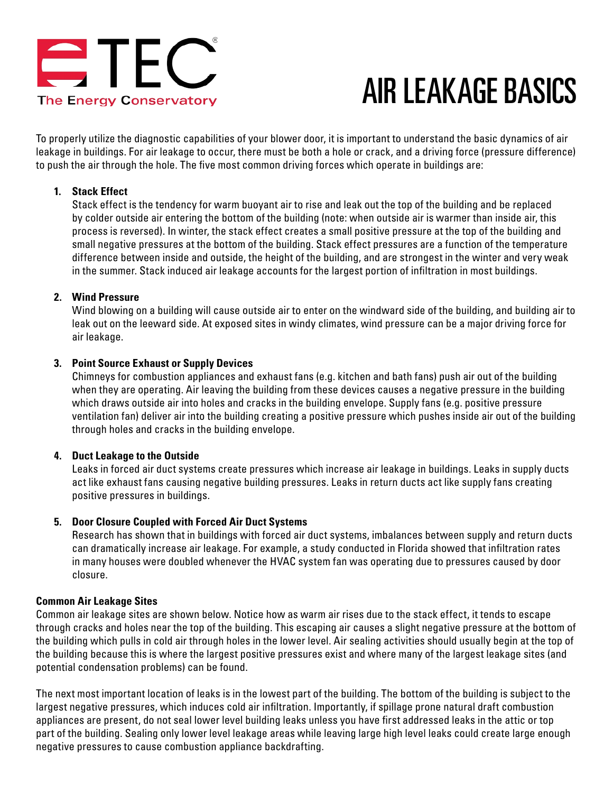

# AIR LEAKAGE BASICS

To properly utilize the diagnostic capabilities of your blower door, it is important to understand the basic dynamics of air leakage in buildings. For air leakage to occur, there must be both a hole or crack, and a driving force (pressure difference) to push the air through the hole. The five most common driving forces which operate in buildings are:

# **1. Stack Effect**

Stack effect is the tendency for warm buoyant air to rise and leak out the top of the building and be replaced by colder outside air entering the bottom of the building (note: when outside air is warmer than inside air, this process is reversed). In winter, the stack effect creates a small positive pressure at the top of the building and small negative pressures at the bottom of the building. Stack effect pressures are a function of the temperature difference between inside and outside, the height of the building, and are strongest in the winter and very weak in the summer. Stack induced air leakage accounts for the largest portion of infiltration in most buildings.

# **2. Wind Pressure**

Wind blowing on a building will cause outside air to enter on the windward side of the building, and building air to leak out on the leeward side. At exposed sites in windy climates, wind pressure can be a major driving force for air leakage.

# **3. Point Source Exhaust or Supply Devices**

Chimneys for combustion appliances and exhaust fans (e.g. kitchen and bath fans) push air out of the building when they are operating. Air leaving the building from these devices causes a negative pressure in the building which draws outside air into holes and cracks in the building envelope. Supply fans (e.g. positive pressure ventilation fan) deliver air into the building creating a positive pressure which pushes inside air out of the building through holes and cracks in the building envelope.

# **4. Duct Leakage to the Outside**

Leaks in forced air duct systems create pressures which increase air leakage in buildings. Leaks in supply ducts act like exhaust fans causing negative building pressures. Leaks in return ducts act like supply fans creating positive pressures in buildings.

# **5. Door Closure Coupled with Forced Air Duct Systems**

Research has shown that in buildings with forced air duct systems, imbalances between supply and return ducts can dramatically increase air leakage. For example, a study conducted in Florida showed that infiltration rates in many houses were doubled whenever the HVAC system fan was operating due to pressures caused by door closure.

# **Common Air Leakage Sites**

Common air leakage sites are shown below. Notice how as warm air rises due to the stack effect, it tends to escape through cracks and holes near the top of the building. This escaping air causes a slight negative pressure at the bottom of the building which pulls in cold air through holes in the lower level. Air sealing activities should usually begin at the top of the building because this is where the largest positive pressures exist and where many of the largest leakage sites (and potential condensation problems) can be found.

The next most important location of leaks is in the lowest part of the building. The bottom of the building is subject to the largest negative pressures, which induces cold air infiltration. Importantly, if spillage prone natural draft combustion appliances are present, do not seal lower level building leaks unless you have first addressed leaks in the attic or top part of the building. Sealing only lower level leakage areas while leaving large high level leaks could create large enough negative pressures to cause combustion appliance backdrafting.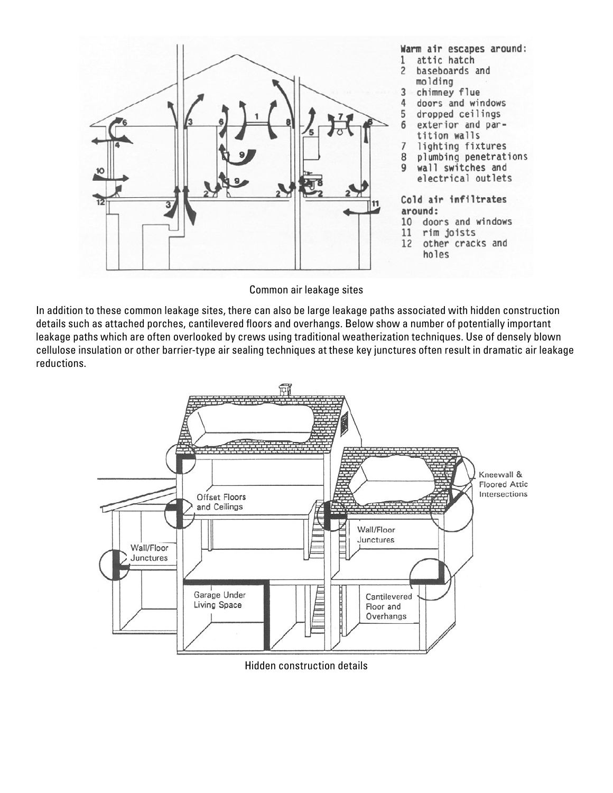

Common air leakage sites

In addition to these common leakage sites, there can also be large leakage paths associated with hidden construction details such as attached porches, cantilevered floors and overhangs. Below show a number of potentially important leakage paths which are often overlooked by crews using traditional weatherization techniques. Use of densely blown cellulose insulation or other barrier-type air sealing techniques at these key junctures often result in dramatic air leakage reductions.



Hidden construction details